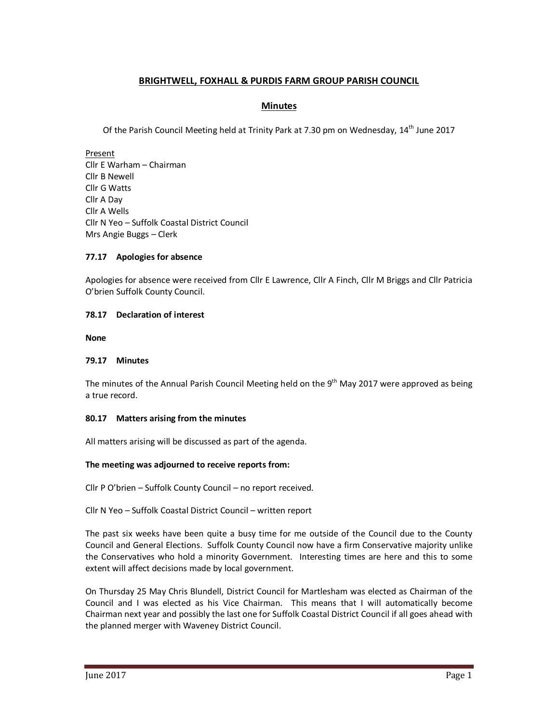# **BRIGHTWELL, FOXHALL & PURDIS FARM GROUP PARISH COUNCIL**

## **Minutes**

Of the Parish Council Meeting held at Trinity Park at 7.30 pm on Wednesday, 14<sup>th</sup> June 2017

Present Cllr E Warham – Chairman Cllr B Newell Cllr G Watts Cllr A Day Cllr A Wells Cllr N Yeo – Suffolk Coastal District Council Mrs Angie Buggs – Clerk

### **77.17 Apologies for absence**

Apologies for absence were received from Cllr E Lawrence, Cllr A Finch, Cllr M Briggs and Cllr Patricia O'brien Suffolk County Council.

### **78.17 Declaration of interest**

**None** 

#### **79.17 Minutes**

The minutes of the Annual Parish Council Meeting held on the 9<sup>th</sup> May 2017 were approved as being a true record.

#### **80.17 Matters arising from the minutes**

All matters arising will be discussed as part of the agenda.

## **The meeting was adjourned to receive reports from:**

Cllr P O'brien – Suffolk County Council – no report received.

Cllr N Yeo – Suffolk Coastal District Council – written report

The past six weeks have been quite a busy time for me outside of the Council due to the County Council and General Elections. Suffolk County Council now have a firm Conservative majority unlike the Conservatives who hold a minority Government. Interesting times are here and this to some extent will affect decisions made by local government.

On Thursday 25 May Chris Blundell, District Council for Martlesham was elected as Chairman of the Council and I was elected as his Vice Chairman. This means that I will automatically become Chairman next year and possibly the last one for Suffolk Coastal District Council if all goes ahead with the planned merger with Waveney District Council.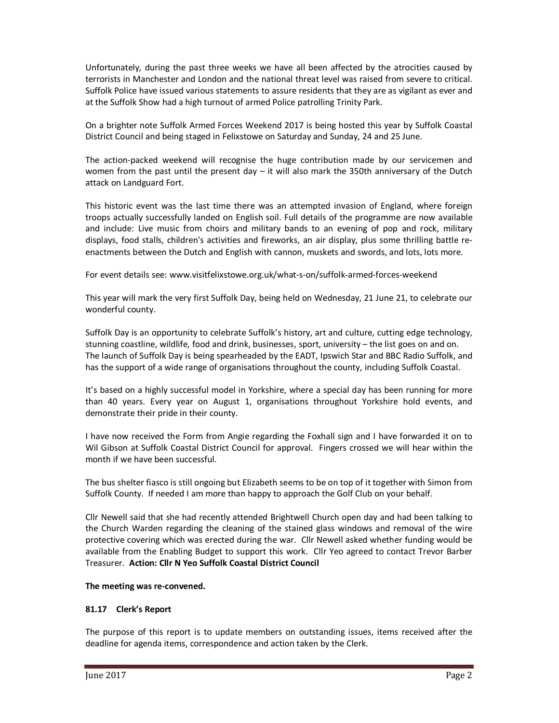Unfortunately, during the past three weeks we have all been affected by the atrocities caused by terrorists in Manchester and London and the national threat level was raised from severe to critical. Suffolk Police have issued various statements to assure residents that they are as vigilant as ever and at the Suffolk Show had a high turnout of armed Police patrolling Trinity Park.

On a brighter note Suffolk Armed Forces Weekend 2017 is being hosted this year by Suffolk Coastal District Council and being staged in Felixstowe on Saturday and Sunday, 24 and 25 June.

The action-packed weekend will recognise the huge contribution made by our servicemen and women from the past until the present day  $-$  it will also mark the 350th anniversary of the Dutch attack on Landguard Fort.

This historic event was the last time there was an attempted invasion of England, where foreign troops actually successfully landed on English soil. Full details of the programme are now available and include: Live music from choirs and military bands to an evening of pop and rock, military displays, food stalls, children's activities and fireworks, an air display, plus some thrilling battle reenactments between the Dutch and English with cannon, muskets and swords, and lots, lots more.

For event details see: www.visitfelixstowe.org.uk/what-s-on/suffolk-armed-forces-weekend

This year will mark the very first Suffolk Day, being held on Wednesday, 21 June 21, to celebrate our wonderful county.

Suffolk Day is an opportunity to celebrate Suffolk's history, art and culture, cutting edge technology, stunning coastline, wildlife, food and drink, businesses, sport, university – the list goes on and on. The launch of Suffolk Day is being spearheaded by the EADT, Ipswich Star and BBC Radio Suffolk, and has the support of a wide range of organisations throughout the county, including Suffolk Coastal.

It's based on a highly successful model in Yorkshire, where a special day has been running for more than 40 years. Every year on August 1, organisations throughout Yorkshire hold events, and demonstrate their pride in their county.

I have now received the Form from Angie regarding the Foxhall sign and I have forwarded it on to Wil Gibson at Suffolk Coastal District Council for approval. Fingers crossed we will hear within the month if we have been successful.

The bus shelter fiasco is still ongoing but Elizabeth seems to be on top of it together with Simon from Suffolk County. If needed I am more than happy to approach the Golf Club on your behalf.

Cllr Newell said that she had recently attended Brightwell Church open day and had been talking to the Church Warden regarding the cleaning of the stained glass windows and removal of the wire protective covering which was erected during the war. Cllr Newell asked whether funding would be available from the Enabling Budget to support this work. Cllr Yeo agreed to contact Trevor Barber Treasurer. **Action: Cllr N Yeo Suffolk Coastal District Council** 

## **The meeting was re-convened.**

## **81.17 Clerk's Report**

The purpose of this report is to update members on outstanding issues, items received after the deadline for agenda items, correspondence and action taken by the Clerk.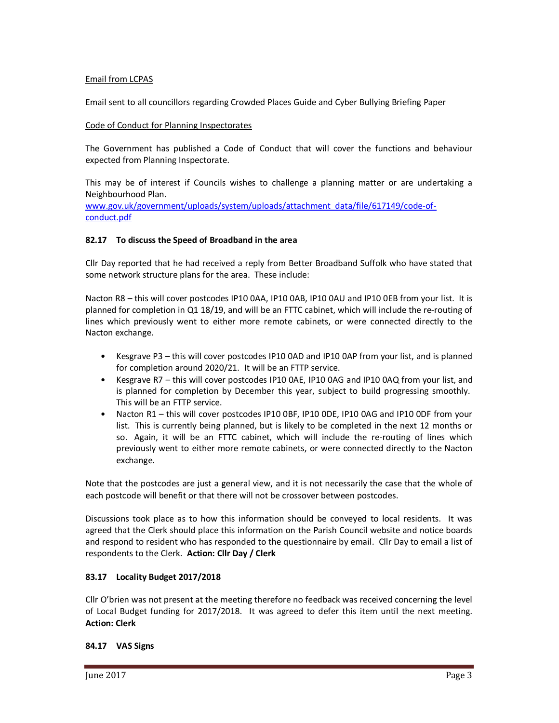## Email from LCPAS

Email sent to all councillors regarding Crowded Places Guide and Cyber Bullying Briefing Paper

### Code of Conduct for Planning Inspectorates

The Government has published a Code of Conduct that will cover the functions and behaviour expected from Planning Inspectorate.

This may be of interest if Councils wishes to challenge a planning matter or are undertaking a Neighbourhood Plan.

www.gov.uk/government/uploads/system/uploads/attachment\_data/file/617149/code-ofconduct.pdf

### **82.17 To discuss the Speed of Broadband in the area**

Cllr Day reported that he had received a reply from Better Broadband Suffolk who have stated that some network structure plans for the area. These include:

Nacton R8 – this will cover postcodes IP10 0AA, IP10 0AB, IP10 0AU and IP10 0EB from your list. It is planned for completion in Q1 18/19, and will be an FTTC cabinet, which will include the re-routing of lines which previously went to either more remote cabinets, or were connected directly to the Nacton exchange.

- Kesgrave P3 this will cover postcodes IP10 0AD and IP10 0AP from your list, and is planned for completion around 2020/21. It will be an FTTP service.
- Kesgrave R7 this will cover postcodes IP10 0AE, IP10 0AG and IP10 0AQ from your list, and is planned for completion by December this year, subject to build progressing smoothly. This will be an FTTP service.
- Nacton R1 this will cover postcodes IP10 0BF, IP10 0DE, IP10 0AG and IP10 0DF from your list. This is currently being planned, but is likely to be completed in the next 12 months or so. Again, it will be an FTTC cabinet, which will include the re-routing of lines which previously went to either more remote cabinets, or were connected directly to the Nacton exchange.

Note that the postcodes are just a general view, and it is not necessarily the case that the whole of each postcode will benefit or that there will not be crossover between postcodes.

Discussions took place as to how this information should be conveyed to local residents. It was agreed that the Clerk should place this information on the Parish Council website and notice boards and respond to resident who has responded to the questionnaire by email. Cllr Day to email a list of respondents to the Clerk. **Action: Cllr Day / Clerk** 

#### **83.17 Locality Budget 2017/2018**

Cllr O'brien was not present at the meeting therefore no feedback was received concerning the level of Local Budget funding for 2017/2018. It was agreed to defer this item until the next meeting. **Action: Clerk** 

#### **84.17 VAS Signs**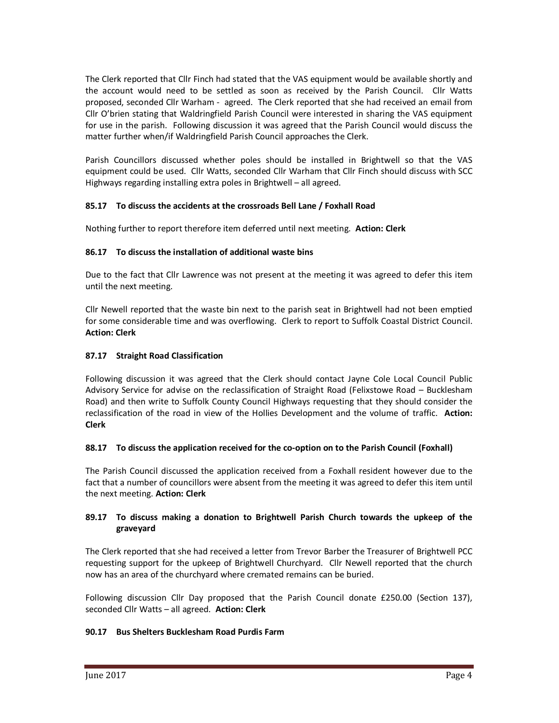The Clerk reported that Cllr Finch had stated that the VAS equipment would be available shortly and the account would need to be settled as soon as received by the Parish Council. Cllr Watts proposed, seconded Cllr Warham - agreed. The Clerk reported that she had received an email from Cllr O'brien stating that Waldringfield Parish Council were interested in sharing the VAS equipment for use in the parish. Following discussion it was agreed that the Parish Council would discuss the matter further when/if Waldringfield Parish Council approaches the Clerk.

Parish Councillors discussed whether poles should be installed in Brightwell so that the VAS equipment could be used. Cllr Watts, seconded Cllr Warham that Cllr Finch should discuss with SCC Highways regarding installing extra poles in Brightwell – all agreed.

# **85.17 To discuss the accidents at the crossroads Bell Lane / Foxhall Road**

Nothing further to report therefore item deferred until next meeting. **Action: Clerk** 

## **86.17 To discuss the installation of additional waste bins**

Due to the fact that Cllr Lawrence was not present at the meeting it was agreed to defer this item until the next meeting.

Cllr Newell reported that the waste bin next to the parish seat in Brightwell had not been emptied for some considerable time and was overflowing. Clerk to report to Suffolk Coastal District Council. **Action: Clerk** 

## **87.17 Straight Road Classification**

Following discussion it was agreed that the Clerk should contact Jayne Cole Local Council Public Advisory Service for advise on the reclassification of Straight Road (Felixstowe Road – Bucklesham Road) and then write to Suffolk County Council Highways requesting that they should consider the reclassification of the road in view of the Hollies Development and the volume of traffic. **Action: Clerk** 

## **88.17 To discuss the application received for the co-option on to the Parish Council (Foxhall)**

The Parish Council discussed the application received from a Foxhall resident however due to the fact that a number of councillors were absent from the meeting it was agreed to defer this item until the next meeting. **Action: Clerk** 

## **89.17 To discuss making a donation to Brightwell Parish Church towards the upkeep of the graveyard**

The Clerk reported that she had received a letter from Trevor Barber the Treasurer of Brightwell PCC requesting support for the upkeep of Brightwell Churchyard. Cllr Newell reported that the church now has an area of the churchyard where cremated remains can be buried.

Following discussion Cllr Day proposed that the Parish Council donate £250.00 (Section 137), seconded Cllr Watts – all agreed. **Action: Clerk** 

## **90.17 Bus Shelters Bucklesham Road Purdis Farm**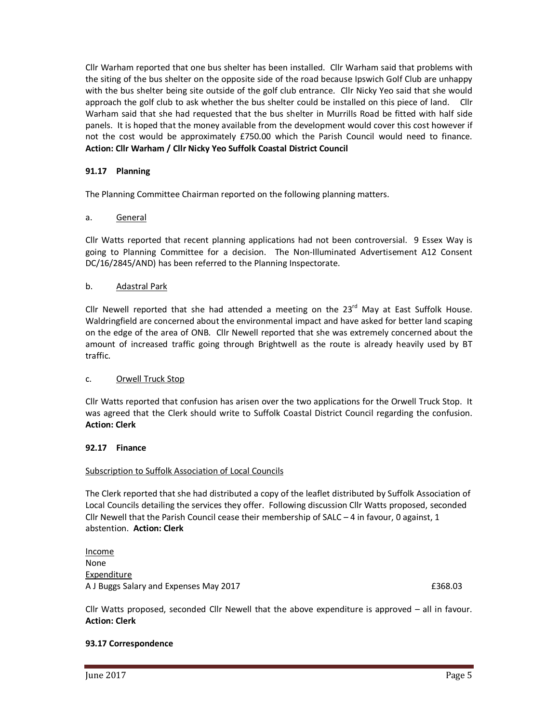Cllr Warham reported that one bus shelter has been installed. Cllr Warham said that problems with the siting of the bus shelter on the opposite side of the road because Ipswich Golf Club are unhappy with the bus shelter being site outside of the golf club entrance. Cllr Nicky Yeo said that she would approach the golf club to ask whether the bus shelter could be installed on this piece of land. Cllr Warham said that she had requested that the bus shelter in Murrills Road be fitted with half side panels. It is hoped that the money available from the development would cover this cost however if not the cost would be approximately £750.00 which the Parish Council would need to finance. **Action: Cllr Warham / Cllr Nicky Yeo Suffolk Coastal District Council** 

## **91.17 Planning**

The Planning Committee Chairman reported on the following planning matters.

### a. General

Cllr Watts reported that recent planning applications had not been controversial. 9 Essex Way is going to Planning Committee for a decision. The Non-Illuminated Advertisement A12 Consent DC/16/2845/AND) has been referred to the Planning Inspectorate.

### b. Adastral Park

Cllr Newell reported that she had attended a meeting on the  $23<sup>rd</sup>$  May at East Suffolk House. Waldringfield are concerned about the environmental impact and have asked for better land scaping on the edge of the area of ONB. Cllr Newell reported that she was extremely concerned about the amount of increased traffic going through Brightwell as the route is already heavily used by BT traffic.

#### c. Orwell Truck Stop

Cllr Watts reported that confusion has arisen over the two applications for the Orwell Truck Stop. It was agreed that the Clerk should write to Suffolk Coastal District Council regarding the confusion. **Action: Clerk** 

#### **92.17 Finance**

#### Subscription to Suffolk Association of Local Councils

The Clerk reported that she had distributed a copy of the leaflet distributed by Suffolk Association of Local Councils detailing the services they offer. Following discussion Cllr Watts proposed, seconded Cllr Newell that the Parish Council cease their membership of SALC  $-$  4 in favour, 0 against, 1 abstention. **Action: Clerk** 

Income None Expenditure A J Buggs Salary and Expenses May 2017 **E368.03** 

Cllr Watts proposed, seconded Cllr Newell that the above expenditure is approved – all in favour. **Action: Clerk** 

#### **93.17 Correspondence**